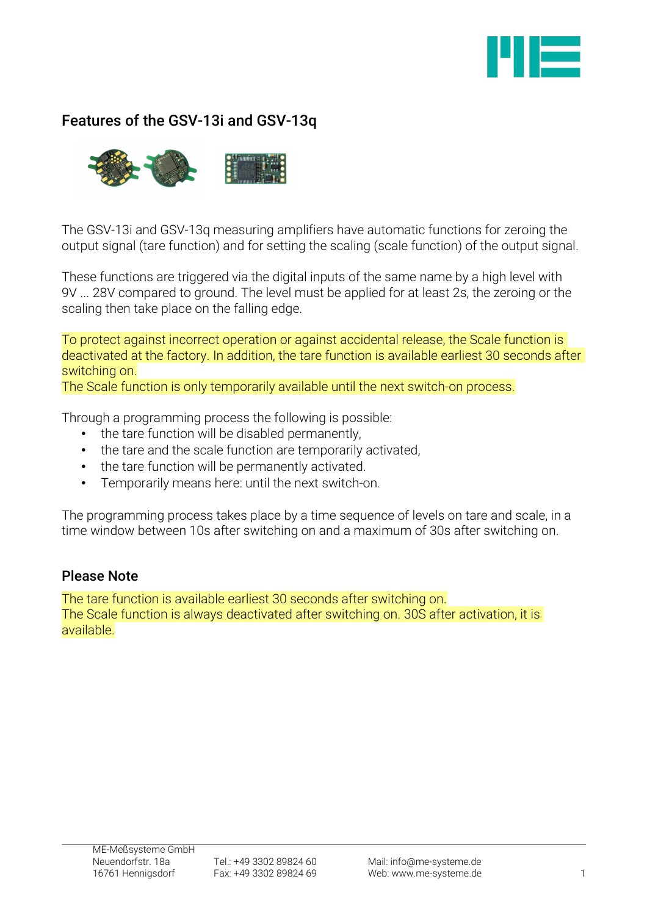

# Features of the GSV-13i and GSV-13q



The GSV-13i and GSV-13q measuring amplifiers have automatic functions for zeroing the output signal (tare function) and for setting the scaling (scale function) of the output signal.

These functions are triggered via the digital inputs of the same name by a high level with 9V ... 28V compared to ground. The level must be applied for at least 2s, the zeroing or the scaling then take place on the falling edge.

To protect against incorrect operation or against accidental release, the Scale function is deactivated at the factory. In addition, the tare function is available earliest 30 seconds after switching on.

The Scale function is only temporarily available until the next switch-on process.

Through a programming process the following is possible:

- the tare function will be disabled permanently,
- the tare and the scale function are temporarily activated,
- the tare function will be permanently activated.
- Temporarily means here: until the next switch-on.

The programming process takes place by a time sequence of levels on tare and scale, in a time window between 10s after switching on and a maximum of 30s after switching on.

#### Please Note

The tare function is available earliest 30 seconds after switching on. The Scale function is always deactivated after switching on. 30S after activation, it is available.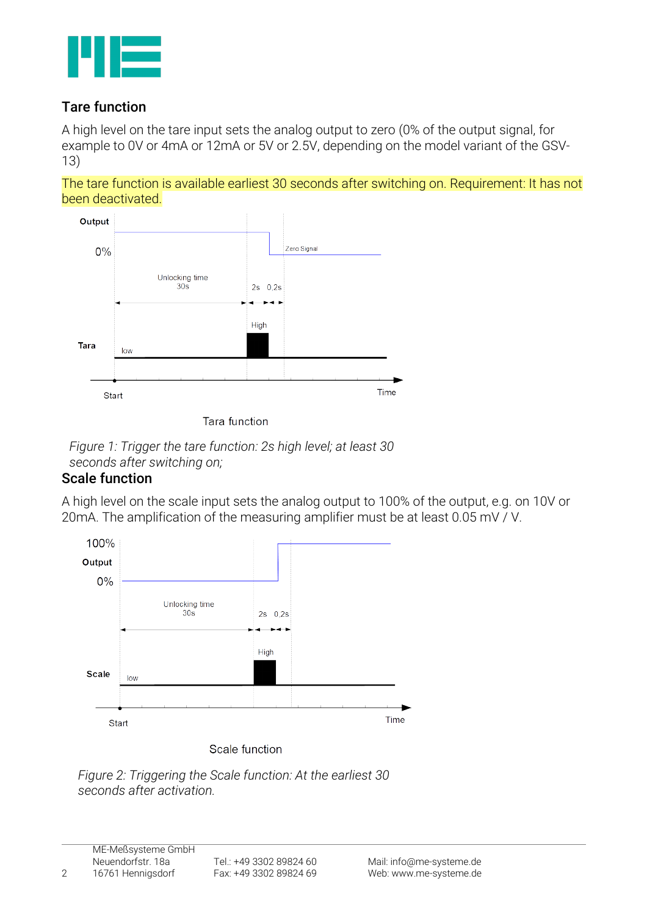

## Tare function

A high level on the tare input sets the analog output to zero (0% of the output signal, for example to 0V or 4mA or 12mA or 5V or 2.5V, depending on the model variant of the GSV-13)

The tare function is available earliest 30 seconds after switching on. Requirement: It has not been deactivated.



Tara function



### Scale function

A high level on the scale input sets the analog output to 100% of the output, e.g. on 10V or 20mA. The amplification of the measuring amplifier must be at least 0.05 mV / V.



*Figure 2: Triggering the Scale function: At the earliest 30 seconds after activation.*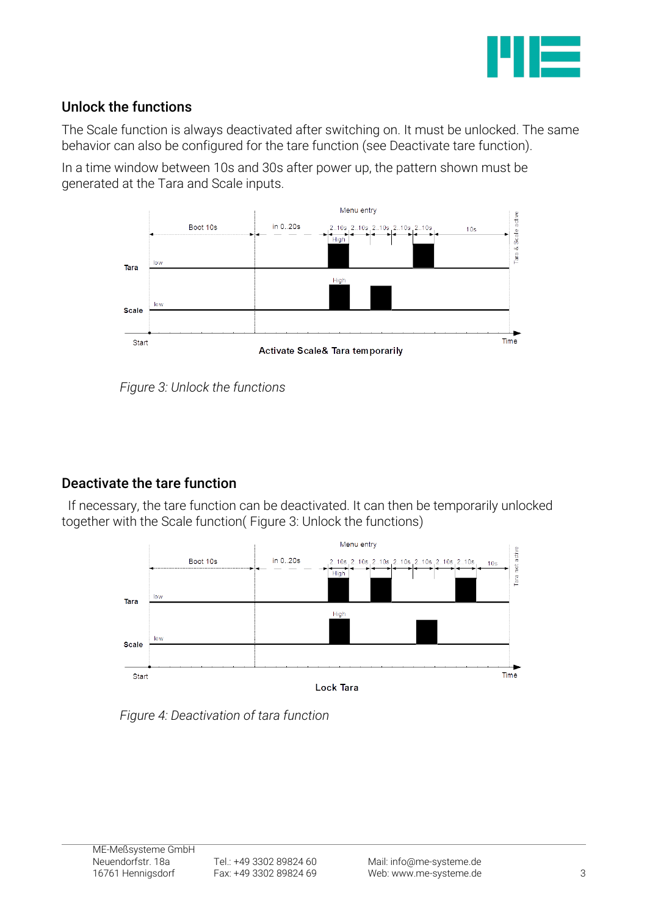

## Unlock the functions

The Scale function is always deactivated after switching on. It must be unlocked. The same behavior can also be configured for the tare function (see Deactivate tare function).

In a time window between 10s and 30s after power up, the pattern shown must be generated at the Tara and Scale inputs.



<span id="page-2-0"></span>*Figure 3: Unlock the functions*

# Deactivate the tare function

If necessary, the tare function can be deactivated. It can then be temporarily unlocked together with the Scale function( [Figure 3: Unlock the functions\)](#page-2-0)



*Figure 4: Deactivation of tara function*